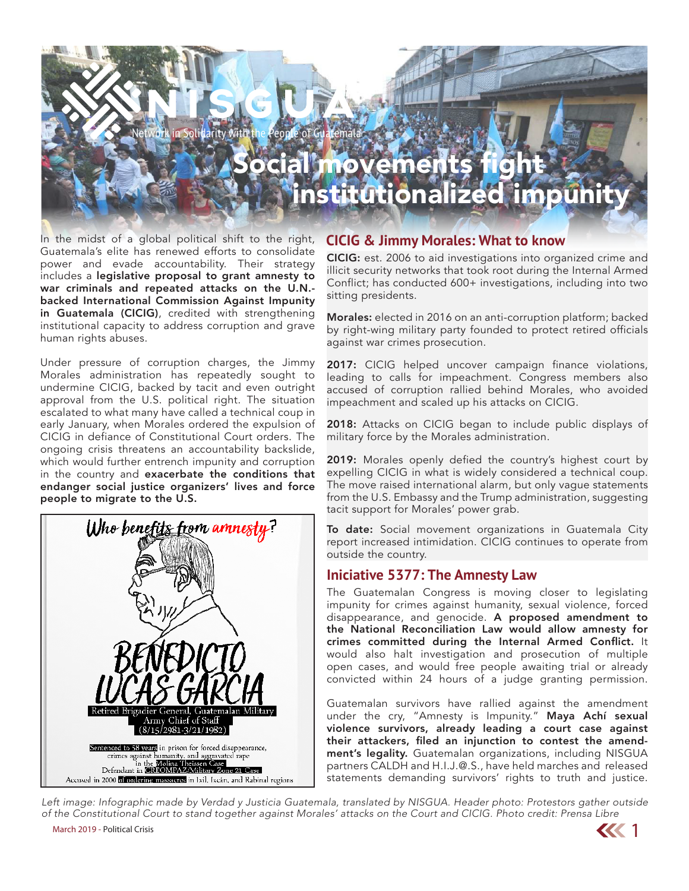# ocial movements N I SG UT Solidarity with the People of institutionalized impunity

In the midst of a global political shift to the right, Guatemala's elite has renewed efforts to consolidate power and evade accountability. Their strategy includes a legislative proposal to grant amnesty to war criminals and repeated attacks on the U.N. backed International Commission Against Impunity in Guatemala (CICIG), credited with strengthening institutional capacity to address corruption and grave human rights abuses.

Under pressure of corruption charges, the Jimmy Morales administration has repeatedly sought to undermine CICIG, backed by tacit and even outright approval from the U.S. political right. The situation escalated to what many have called a technical coup in early January, when Morales ordered the expulsion of CICIG in defiance of Constitutional Court orders. The ongoing crisis threatens an accountability backslide, which would further entrench impunity and corruption in the country and exacerbate the conditions that endanger social justice organizers' lives and force people to migrate to the U.S.



#### **CICIG & Jimmy Morales: What to know**

CICIG: est. 2006 to aid investigations into organized crime and illicit security networks that took root during the Internal Armed Conflict; has conducted 600+ investigations, including into two sitting presidents.

Morales: elected in 2016 on an anti-corruption platform; backed by right-wing military party founded to protect retired officials against war crimes prosecution.

2017: CICIG helped uncover campaign finance violations, leading to calls for impeachment. Congress members also accused of corruption rallied behind Morales, who avoided impeachment and scaled up his attacks on CICIG.

2018: Attacks on CICIG began to include public displays of military force by the Morales administration.

2019: Morales openly defied the country's highest court by expelling CICIG in what is widely considered a technical coup. The move raised international alarm, but only vague statements from the U.S. Embassy and the Trump administration, suggesting tacit support for Morales' power grab.

To date: Social movement organizations in Guatemala City report increased intimidation. CICIG continues to operate from outside the country.

#### **Iniciative 5377: The Amnesty Law**

The Guatemalan Congress is moving closer to legislating impunity for crimes against humanity, sexual violence, forced disappearance, and genocide. A proposed amendment to the National Reconciliation Law would allow amnesty for crimes committed during the Internal Armed Conflict. It would also halt investigation and prosecution of multiple open cases, and would free people awaiting trial or already convicted within 24 hours of a judge granting permission.

Guatemalan survivors have rallied against the amendment under the cry, "Amnesty is Impunity." Maya Achí sexual violence survivors, already leading a court case against their attackers, filed an injunction to contest the amendment's legality. Guatemalan organizations, including NISGUA partners CALDH and H.I.J.@.S., have held marches and released statements demanding survivors' rights to truth and justice.

March 2019 - Political Crisis **1996 - Political Crisis** 1996 - Political Crisis 1996 - Political Crisis 1996 - Political Crisis 1996 - Political Crisis 1996 - Political Crisis 1996 - Political Crisis 1997 - Political Crisi *Left image: Infographic made by Verdad y Justicia Guatemala, translated by NISGUA. Header photo: Protestors gather outside of the Constitutional Court to stand together against Morales' attacks on the Court and CICIG. Photo credit: Prensa Libre*